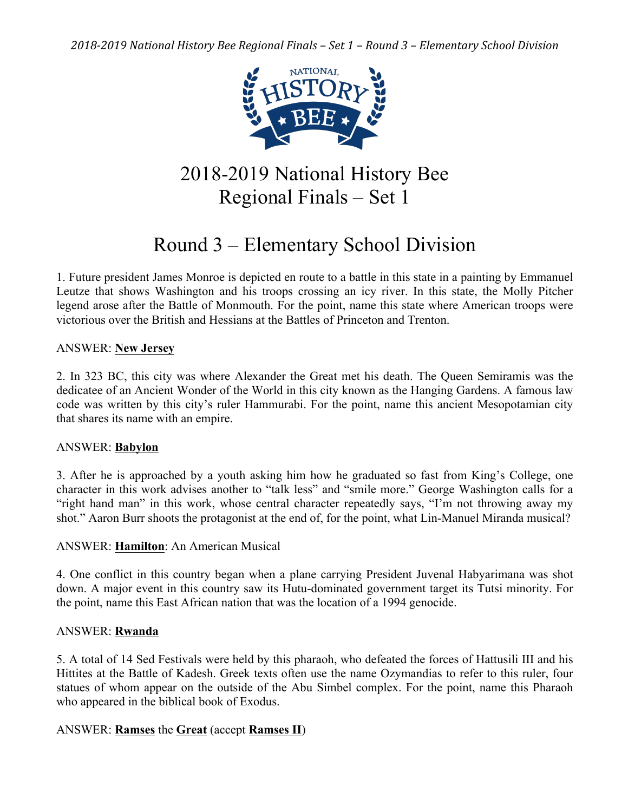

# 2018-2019 National History Bee Regional Finals – Set 1

# Round 3 – Elementary School Division

1. Future president James Monroe is depicted en route to a battle in this state in a painting by Emmanuel Leutze that shows Washington and his troops crossing an icy river. In this state, the Molly Pitcher legend arose after the Battle of Monmouth. For the point, name this state where American troops were victorious over the British and Hessians at the Battles of Princeton and Trenton.

# ANSWER: **New Jersey**

2. In 323 BC, this city was where Alexander the Great met his death. The Queen Semiramis was the dedicatee of an Ancient Wonder of the World in this city known as the Hanging Gardens. A famous law code was written by this city's ruler Hammurabi. For the point, name this ancient Mesopotamian city that shares its name with an empire.

## ANSWER: **Babylon**

3. After he is approached by a youth asking him how he graduated so fast from King's College, one character in this work advises another to "talk less" and "smile more." George Washington calls for a "right hand man" in this work, whose central character repeatedly says, "I'm not throwing away my shot." Aaron Burr shoots the protagonist at the end of, for the point, what Lin-Manuel Miranda musical?

# ANSWER: **Hamilton**: An American Musical

4. One conflict in this country began when a plane carrying President Juvenal Habyarimana was shot down. A major event in this country saw its Hutu-dominated government target its Tutsi minority. For the point, name this East African nation that was the location of a 1994 genocide.

## ANSWER: **Rwanda**

5. A total of 14 Sed Festivals were held by this pharaoh, who defeated the forces of Hattusili III and his Hittites at the Battle of Kadesh. Greek texts often use the name Ozymandias to refer to this ruler, four statues of whom appear on the outside of the Abu Simbel complex. For the point, name this Pharaoh who appeared in the biblical book of Exodus.

# ANSWER: **Ramses** the **Great** (accept **Ramses II**)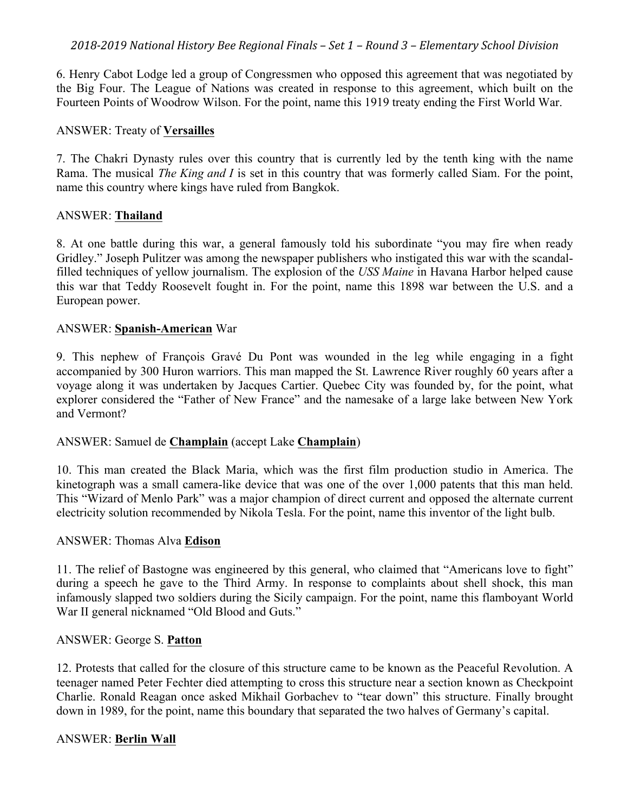6. Henry Cabot Lodge led a group of Congressmen who opposed this agreement that was negotiated by the Big Four. The League of Nations was created in response to this agreement, which built on the Fourteen Points of Woodrow Wilson. For the point, name this 1919 treaty ending the First World War.

### ANSWER: Treaty of **Versailles**

7. The Chakri Dynasty rules over this country that is currently led by the tenth king with the name Rama. The musical *The King and I* is set in this country that was formerly called Siam. For the point, name this country where kings have ruled from Bangkok.

#### ANSWER: **Thailand**

8. At one battle during this war, a general famously told his subordinate "you may fire when ready Gridley." Joseph Pulitzer was among the newspaper publishers who instigated this war with the scandalfilled techniques of yellow journalism. The explosion of the *USS Maine* in Havana Harbor helped cause this war that Teddy Roosevelt fought in. For the point, name this 1898 war between the U.S. and a European power.

#### ANSWER: **Spanish-American** War

9. This nephew of François Gravé Du Pont was wounded in the leg while engaging in a fight accompanied by 300 Huron warriors. This man mapped the St. Lawrence River roughly 60 years after a voyage along it was undertaken by Jacques Cartier. Quebec City was founded by, for the point, what explorer considered the "Father of New France" and the namesake of a large lake between New York and Vermont?

## ANSWER: Samuel de **Champlain** (accept Lake **Champlain**)

10. This man created the Black Maria, which was the first film production studio in America. The kinetograph was a small camera-like device that was one of the over 1,000 patents that this man held. This "Wizard of Menlo Park" was a major champion of direct current and opposed the alternate current electricity solution recommended by Nikola Tesla. For the point, name this inventor of the light bulb.

# ANSWER: Thomas Alva **Edison**

11. The relief of Bastogne was engineered by this general, who claimed that "Americans love to fight" during a speech he gave to the Third Army. In response to complaints about shell shock, this man infamously slapped two soldiers during the Sicily campaign. For the point, name this flamboyant World War II general nicknamed "Old Blood and Guts."

## ANSWER: George S. **Patton**

12. Protests that called for the closure of this structure came to be known as the Peaceful Revolution. A teenager named Peter Fechter died attempting to cross this structure near a section known as Checkpoint Charlie. Ronald Reagan once asked Mikhail Gorbachev to "tear down" this structure. Finally brought down in 1989, for the point, name this boundary that separated the two halves of Germany's capital.

#### ANSWER: **Berlin Wall**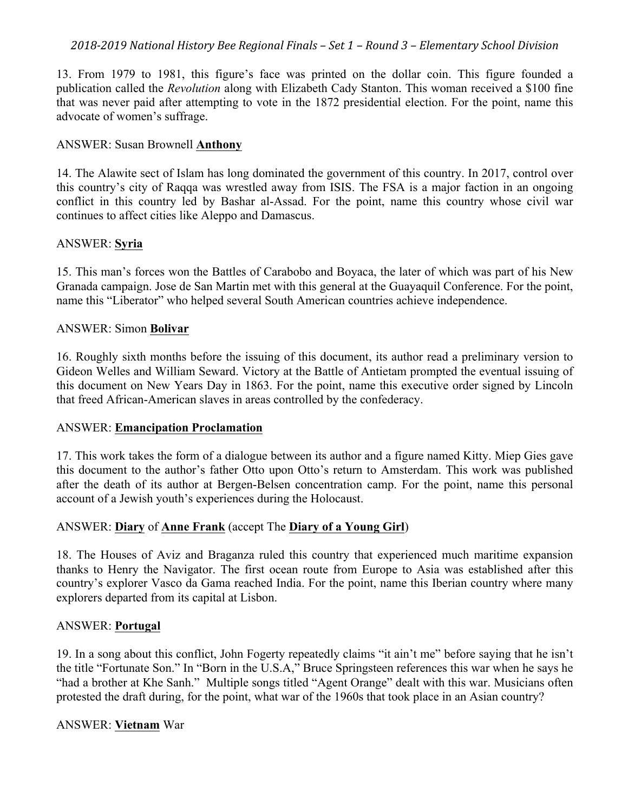13. From 1979 to 1981, this figure's face was printed on the dollar coin. This figure founded a publication called the *Revolution* along with Elizabeth Cady Stanton. This woman received a \$100 fine that was never paid after attempting to vote in the 1872 presidential election. For the point, name this advocate of women's suffrage.

### ANSWER: Susan Brownell **Anthony**

14. The Alawite sect of Islam has long dominated the government of this country. In 2017, control over this country's city of Raqqa was wrestled away from ISIS. The FSA is a major faction in an ongoing conflict in this country led by Bashar al-Assad. For the point, name this country whose civil war continues to affect cities like Aleppo and Damascus.

#### ANSWER: **Syria**

15. This man's forces won the Battles of Carabobo and Boyaca, the later of which was part of his New Granada campaign. Jose de San Martin met with this general at the Guayaquil Conference. For the point, name this "Liberator" who helped several South American countries achieve independence.

#### ANSWER: Simon **Bolivar**

16. Roughly sixth months before the issuing of this document, its author read a preliminary version to Gideon Welles and William Seward. Victory at the Battle of Antietam prompted the eventual issuing of this document on New Years Day in 1863. For the point, name this executive order signed by Lincoln that freed African-American slaves in areas controlled by the confederacy.

## ANSWER: **Emancipation Proclamation**

17. This work takes the form of a dialogue between its author and a figure named Kitty. Miep Gies gave this document to the author's father Otto upon Otto's return to Amsterdam. This work was published after the death of its author at Bergen-Belsen concentration camp. For the point, name this personal account of a Jewish youth's experiences during the Holocaust.

## ANSWER: **Diary** of **Anne Frank** (accept The **Diary of a Young Girl**)

18. The Houses of Aviz and Braganza ruled this country that experienced much maritime expansion thanks to Henry the Navigator. The first ocean route from Europe to Asia was established after this country's explorer Vasco da Gama reached India. For the point, name this Iberian country where many explorers departed from its capital at Lisbon.

## ANSWER: **Portugal**

19. In a song about this conflict, John Fogerty repeatedly claims "it ain't me" before saying that he isn't the title "Fortunate Son." In "Born in the U.S.A," Bruce Springsteen references this war when he says he "had a brother at Khe Sanh." Multiple songs titled "Agent Orange" dealt with this war. Musicians often protested the draft during, for the point, what war of the 1960s that took place in an Asian country?

#### ANSWER: **Vietnam** War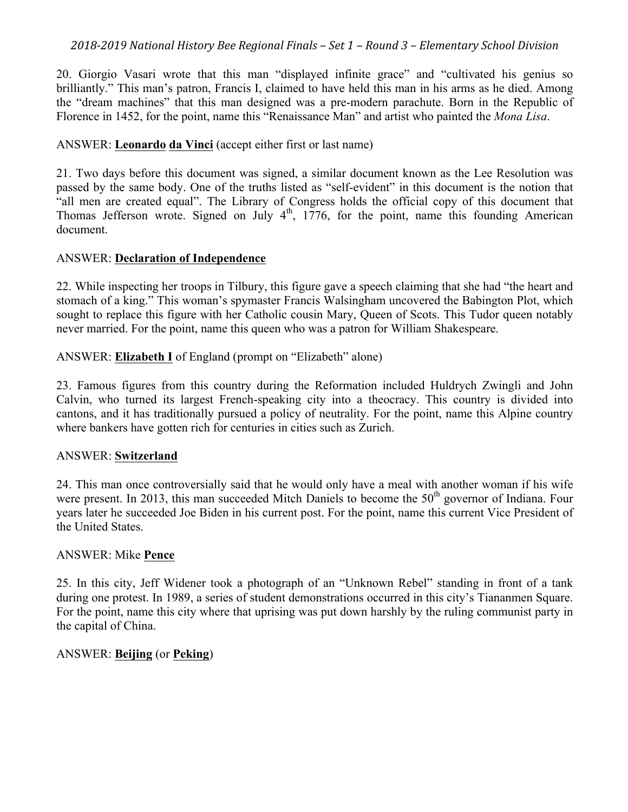20. Giorgio Vasari wrote that this man "displayed infinite grace" and "cultivated his genius so brilliantly." This man's patron, Francis I, claimed to have held this man in his arms as he died. Among the "dream machines" that this man designed was a pre-modern parachute. Born in the Republic of Florence in 1452, for the point, name this "Renaissance Man" and artist who painted the *Mona Lisa*.

# ANSWER: **Leonardo da Vinci** (accept either first or last name)

21. Two days before this document was signed, a similar document known as the Lee Resolution was passed by the same body. One of the truths listed as "self-evident" in this document is the notion that "all men are created equal". The Library of Congress holds the official copy of this document that Thomas Jefferson wrote. Signed on July  $4<sup>th</sup>$ , 1776, for the point, name this founding American document.

# ANSWER: **Declaration of Independence**

22. While inspecting her troops in Tilbury, this figure gave a speech claiming that she had "the heart and stomach of a king." This woman's spymaster Francis Walsingham uncovered the Babington Plot, which sought to replace this figure with her Catholic cousin Mary, Queen of Scots. This Tudor queen notably never married. For the point, name this queen who was a patron for William Shakespeare.

ANSWER: **Elizabeth I** of England (prompt on "Elizabeth" alone)

23. Famous figures from this country during the Reformation included Huldrych Zwingli and John Calvin, who turned its largest French-speaking city into a theocracy. This country is divided into cantons, and it has traditionally pursued a policy of neutrality. For the point, name this Alpine country where bankers have gotten rich for centuries in cities such as Zurich.

# ANSWER: **Switzerland**

24. This man once controversially said that he would only have a meal with another woman if his wife were present. In 2013, this man succeeded Mitch Daniels to become the 50<sup>th</sup> governor of Indiana. Four years later he succeeded Joe Biden in his current post. For the point, name this current Vice President of the United States.

# ANSWER: Mike **Pence**

25. In this city, Jeff Widener took a photograph of an "Unknown Rebel" standing in front of a tank during one protest. In 1989, a series of student demonstrations occurred in this city's Tiananmen Square. For the point, name this city where that uprising was put down harshly by the ruling communist party in the capital of China.

# ANSWER: **Beijing** (or **Peking**)